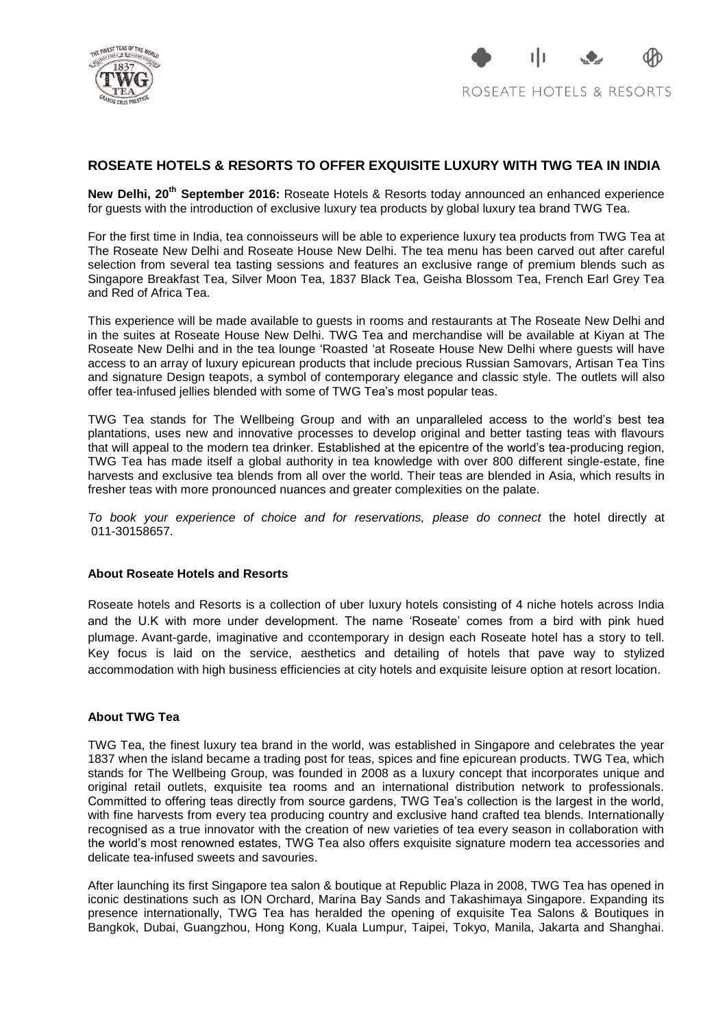

## **ROSEATE HOTELS & RESORTS TO OFFER EXQUISITE LUXURY WITH TWG TEA IN INDIA**

New Delhi, 20<sup>th</sup> September 2016: Roseate Hotels & Resorts today announced an enhanced experience for guests with the introduction of exclusive luxury tea products by global luxury tea brand TWG Tea.

For the first time in India, tea connoisseurs will be able to experience luxury tea products from TWG Tea at The Roseate New Delhi and Roseate House New Delhi. The tea menu has been carved out after careful selection from several tea tasting sessions and features an exclusive range of premium blends such as Singapore Breakfast Tea, Silver Moon Tea, 1837 Black Tea, Geisha Blossom Tea, French Earl Grey Tea and Red of Africa Tea.

This experience will be made available to guests in rooms and restaurants at The Roseate New Delhi and in the suites at Roseate House New Delhi. TWG Tea and merchandise will be available at Kiyan at The Roseate New Delhi and in the tea lounge 'Roasted 'at Roseate House New Delhi where guests will have access to an array of luxury epicurean products that include precious Russian Samovars, Artisan Tea Tins and signature Design teapots, a symbol of contemporary elegance and classic style. The outlets will also offer tea-infused jellies blended with some of TWG Tea's most popular teas.

TWG Tea stands for The Wellbeing Group and with an unparalleled access to the world's best tea plantations, uses new and innovative processes to develop original and better tasting teas with flavours that will appeal to the modern tea drinker. Established at the epicentre of the world's tea-producing region, TWG Tea has made itself a global authority in tea knowledge with over 800 different single-estate, fine harvests and exclusive tea blends from all over the world. Their teas are blended in Asia, which results in fresher teas with more pronounced nuances and greater complexities on the palate.

*To book your experience of choice and for reservations, please do connect* the hotel directly at 011-30158657.

## **About Roseate Hotels and Resorts**

Roseate hotels and Resorts is a collection of uber luxury hotels consisting of 4 niche hotels across India and the U.K with more under development. The name 'Roseate' comes from a bird with pink hued plumage. Avant-garde, imaginative and ccontemporary in design each Roseate hotel has a story to tell. Key focus is laid on the service, aesthetics and detailing of hotels that pave way to stylized accommodation with high business efficiencies at city hotels and exquisite leisure option at resort location.

## **About TWG Tea**

TWG Tea, the finest luxury tea brand in the world, was established in Singapore and celebrates the year 1837 when the island became a trading post for teas, spices and fine epicurean products. TWG Tea, which stands for The Wellbeing Group, was founded in 2008 as a luxury concept that incorporates unique and original retail outlets, exquisite tea rooms and an international distribution network to professionals. Committed to offering teas directly from source gardens, TWG Tea's collection is the largest in the world, with fine harvests from every tea producing country and exclusive hand crafted tea blends. Internationally recognised as a true innovator with the creation of new varieties of tea every season in collaboration with the world's most renowned estates, TWG Tea also offers exquisite signature modern tea accessories and delicate tea-infused sweets and savouries.

After launching its first Singapore tea salon & boutique at Republic Plaza in 2008, TWG Tea has opened in iconic destinations such as ION Orchard, Marina Bay Sands and Takashimaya Singapore. Expanding its presence internationally, TWG Tea has heralded the opening of exquisite Tea Salons & Boutiques in Bangkok, Dubai, Guangzhou, Hong Kong, Kuala Lumpur, Taipei, Tokyo, Manila, Jakarta and Shanghai.